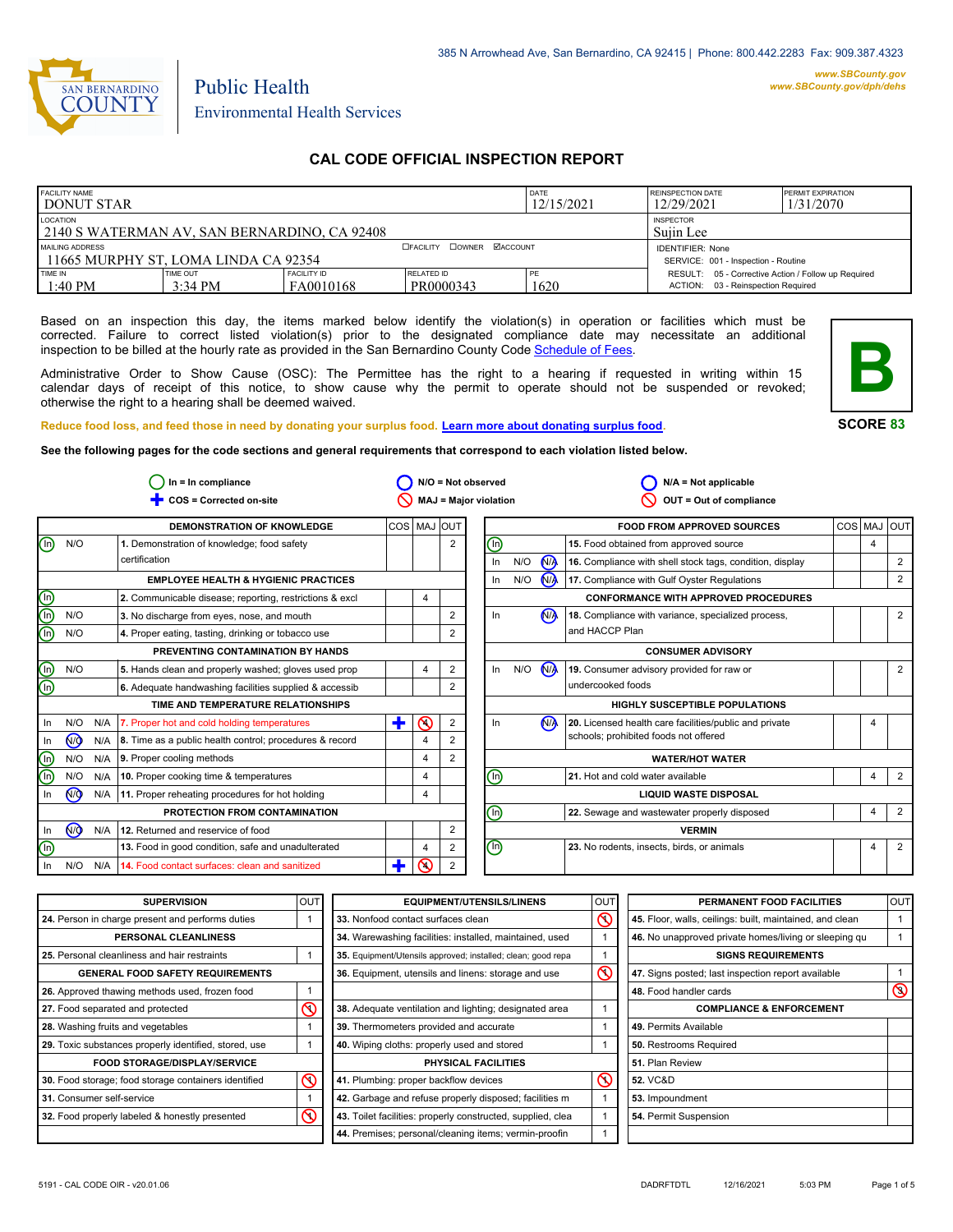

# Environmental Health Services

Public Health

# **CAL CODE OFFICIAL INSPECTION REPORT**

| <b>FACILITY NAME</b><br><b>I DONUT STAR</b>              |                       |                                                                | DATE<br>12/15/2021            | <b>REINSPECTION DATE</b><br>12/29/2021 | <b>PERMIT EXPIRATION</b><br>1/31/2070                                                     |  |
|----------------------------------------------------------|-----------------------|----------------------------------------------------------------|-------------------------------|----------------------------------------|-------------------------------------------------------------------------------------------|--|
| LOCATION<br>2140 S WATERMAN AV, SAN BERNARDINO, CA 92408 |                       |                                                                | <b>INSPECTOR</b><br>Suiin Lee |                                        |                                                                                           |  |
| MAILING ADDRESS<br>11665 MURPHY ST. LOMA LINDA CA 92354  |                       | <b>IDENTIFIER: None</b><br>SERVICE: 001 - Inspection - Routine |                               |                                        |                                                                                           |  |
| TIME IN<br>$1:40 \text{ PM}$                             | TIME OUT<br>$3:34$ PM | <b>FACILITY ID</b><br>FA0010168                                | RELATED ID<br>PR0000343       | 1620                                   | RESULT: 05 - Corrective Action / Follow up Required<br>ACTION: 03 - Reinspection Required |  |

Based on an inspection this day, the items marked below identify the violation(s) in operation or facilities which must be corrected. Failure to correct listed violation(s) prior to the designated compliance date may necessitate an additional inspection to be billed at the hourly rate as provided in the San Bernardino County Co[de Schedule of Fees.](https://codelibrary.amlegal.com/codes/sanbernardino/latest/sanberncty_ca/0-0-0-122474#JD_16.0213B)

Administrative Order to Show Cause (OSC): The Permittee has the right to a hearing if requested in writing within 15 calendar days of receipt of this notice, to show cause why the permit to operate should not be suspended or revoked; otherwise the right to a hearing shall be deemed waived.



**SCORE 83**

**Reduce food loss, and feed those in need by donating your surplus f[ood. Learn more about donating surplus food.](https://wp.sbcounty.gov/dph/programs/ehs/charitable-food-service/)**

**See the following pages for the code sections and general requirements that correspond to each violation listed below.**

|                                |                |     | $In = In$ compliance                                    |             |                         |                | $N/O = Not observed$           |     |                      | $N/A = Not applicable$                                   |                |                |
|--------------------------------|----------------|-----|---------------------------------------------------------|-------------|-------------------------|----------------|--------------------------------|-----|----------------------|----------------------------------------------------------|----------------|----------------|
|                                |                |     | COS = Corrected on-site                                 |             |                         |                | <b>MAJ = Major violation</b>   |     |                      | OUT = Out of compliance                                  |                |                |
|                                |                |     | <b>DEMONSTRATION OF KNOWLEDGE</b>                       | COS MAJ OUT |                         |                |                                |     |                      | <b>FOOD FROM APPROVED SOURCES</b>                        |                | COS MAJ OUT    |
| ⊕                              | N/O            |     | 1. Demonstration of knowledge; food safety              |             |                         | $\overline{2}$ | (Ir                            |     |                      | 15. Food obtained from approved source                   | $\overline{4}$ |                |
|                                |                |     | certification                                           |             |                         |                | In                             | N/O | N <sub>A</sub>       | 16. Compliance with shell stock tags, condition, display |                | $\overline{2}$ |
|                                |                |     | <b>EMPLOYEE HEALTH &amp; HYGIENIC PRACTICES</b>         |             |                         |                | In                             | N/O | <b>N<sub>A</sub></b> | 17. Compliance with Gulf Oyster Regulations              |                | 2              |
| $\bigcirc$                     |                |     | 2. Communicable disease; reporting, restrictions & excl |             | 4                       |                |                                |     |                      | <b>CONFORMANCE WITH APPROVED PROCEDURES</b>              |                |                |
| $\overline{\mathbb{O}}$        | N/O            |     | 3. No discharge from eyes, nose, and mouth              |             |                         | 2              | In.                            |     | N <sub>A</sub>       | 18. Compliance with variance, specialized process,       |                | $\overline{2}$ |
| ම                              | N/O            |     | 4. Proper eating, tasting, drinking or tobacco use      |             |                         | 2              |                                |     |                      | and HACCP Plan                                           |                |                |
|                                |                |     | PREVENTING CONTAMINATION BY HANDS                       |             |                         |                |                                |     |                      | <b>CONSUMER ADVISORY</b>                                 |                |                |
| ⊜                              | N/O            |     | 5. Hands clean and properly washed; gloves used prop    |             | 4                       | 2              | In                             | N/O | N <sub>/</sub>       | 19. Consumer advisory provided for raw or                |                | $\overline{2}$ |
| $\overline{\mathbb{O}}$        |                |     | 6. Adequate handwashing facilities supplied & accessib  |             |                         | 2              |                                |     |                      | undercooked foods                                        |                |                |
|                                |                |     | TIME AND TEMPERATURE RELATIONSHIPS                      |             |                         |                |                                |     |                      | <b>HIGHLY SUSCEPTIBLE POPULATIONS</b>                    |                |                |
| In                             | N/O            | N/A | 7. Proper hot and cold holding temperatures             | ÷           | ல                       | 2              | In                             |     | N <sub>A</sub>       | 20. Licensed health care facilities/public and private   | 4              |                |
| In.                            | N <sub>O</sub> | N/A | 8. Time as a public health control; procedures & record |             | $\overline{\mathbf{4}}$ |                |                                |     |                      | schools; prohibited foods not offered                    |                |                |
| $\textcircled{\scriptsize{1}}$ | N/O            | N/A | 9. Proper cooling methods                               |             | $\overline{4}$          | $\overline{2}$ |                                |     |                      | <b>WATER/HOT WATER</b>                                   |                |                |
| ⋒                              | N/O            | N/A | 10. Proper cooking time & temperatures                  |             | $\overline{4}$          |                | (In)                           |     |                      | 21. Hot and cold water available                         | $\overline{4}$ | $\overline{2}$ |
| In                             | N <sub>O</sub> | N/A | 11. Proper reheating procedures for hot holding         |             | 4                       |                | <b>LIQUID WASTE DISPOSAL</b>   |     |                      |                                                          |                |                |
|                                |                |     | PROTECTION FROM CONTAMINATION                           |             |                         |                | ⋒                              |     |                      | 22. Sewage and wastewater properly disposed              | $\overline{4}$ | $\overline{2}$ |
| In                             | (ਔ             | N/A | 12. Returned and reservice of food                      |             |                         | 2              |                                |     |                      | <b>VERMIN</b>                                            |                |                |
| (n)                            |                |     | 13. Food in good condition, safe and unadulterated      |             | $\overline{4}$          | $\overline{2}$ | $\textcircled{\scriptsize{n}}$ |     |                      | 23. No rodents, insects, birds, or animals               | $\overline{4}$ | $\overline{2}$ |
| In.                            | N/O            | N/A | 14. Food contact surfaces: clean and sanitized          |             | ⋒                       | 2              |                                |     |                      |                                                          |                |                |

| <b>SUPERVISION</b>                                    | <b>OUT</b> | <b>EQUIPMENT/UTENSILS/LINENS</b>                             | OU <sub>1</sub>         | PERMANENT FOOD FACILITIES                                | <b>OUT</b>     |
|-------------------------------------------------------|------------|--------------------------------------------------------------|-------------------------|----------------------------------------------------------|----------------|
| 24. Person in charge present and performs duties      |            | 33. Nonfood contact surfaces clean                           | ৎ                       | 45. Floor, walls, ceilings: built, maintained, and clean |                |
| <b>PERSONAL CLEANLINESS</b>                           |            | 34. Warewashing facilities: installed, maintained, used      |                         | 46. No unapproved private homes/living or sleeping gu    |                |
| 25. Personal cleanliness and hair restraints          |            | 35. Equipment/Utensils approved; installed; clean; good repa |                         | <b>SIGNS REQUIREMENTS</b>                                |                |
| <b>GENERAL FOOD SAFETY REQUIREMENTS</b>               |            | 36. Equipment, utensils and linens: storage and use          | $\overline{\mathsf{O}}$ | 47. Signs posted; last inspection report available       |                |
| 26. Approved thawing methods used, frozen food        |            |                                                              |                         | 48. Food handler cards                                   | $\circledcirc$ |
| 27. Food separated and protected                      | $\infty$   | 38. Adequate ventilation and lighting; designated area       |                         | <b>COMPLIANCE &amp; ENFORCEMENT</b>                      |                |
| 28. Washing fruits and vegetables                     |            | 39. Thermometers provided and accurate                       |                         | 49. Permits Available                                    |                |
| 29. Toxic substances properly identified, stored, use |            | 40. Wiping cloths: properly used and stored                  |                         | 50. Restrooms Required                                   |                |
| <b>FOOD STORAGE/DISPLAY/SERVICE</b>                   |            | <b>PHYSICAL FACILITIES</b>                                   |                         | 51. Plan Review                                          |                |
| 30. Food storage; food storage containers identified  | $\infty$   | 41. Plumbing: proper backflow devices                        | $\circledcirc$          | <b>52. VC&amp;D</b>                                      |                |
| 31. Consumer self-service                             |            | 42. Garbage and refuse properly disposed; facilities m       |                         | 53. Impoundment                                          |                |
| 32. Food properly labeled & honestly presented        | ര          | 43. Toilet facilities: properly constructed, supplied, clea  |                         | 54. Permit Suspension                                    |                |
|                                                       |            | 44. Premises; personal/cleaning items; vermin-proofin        |                         |                                                          |                |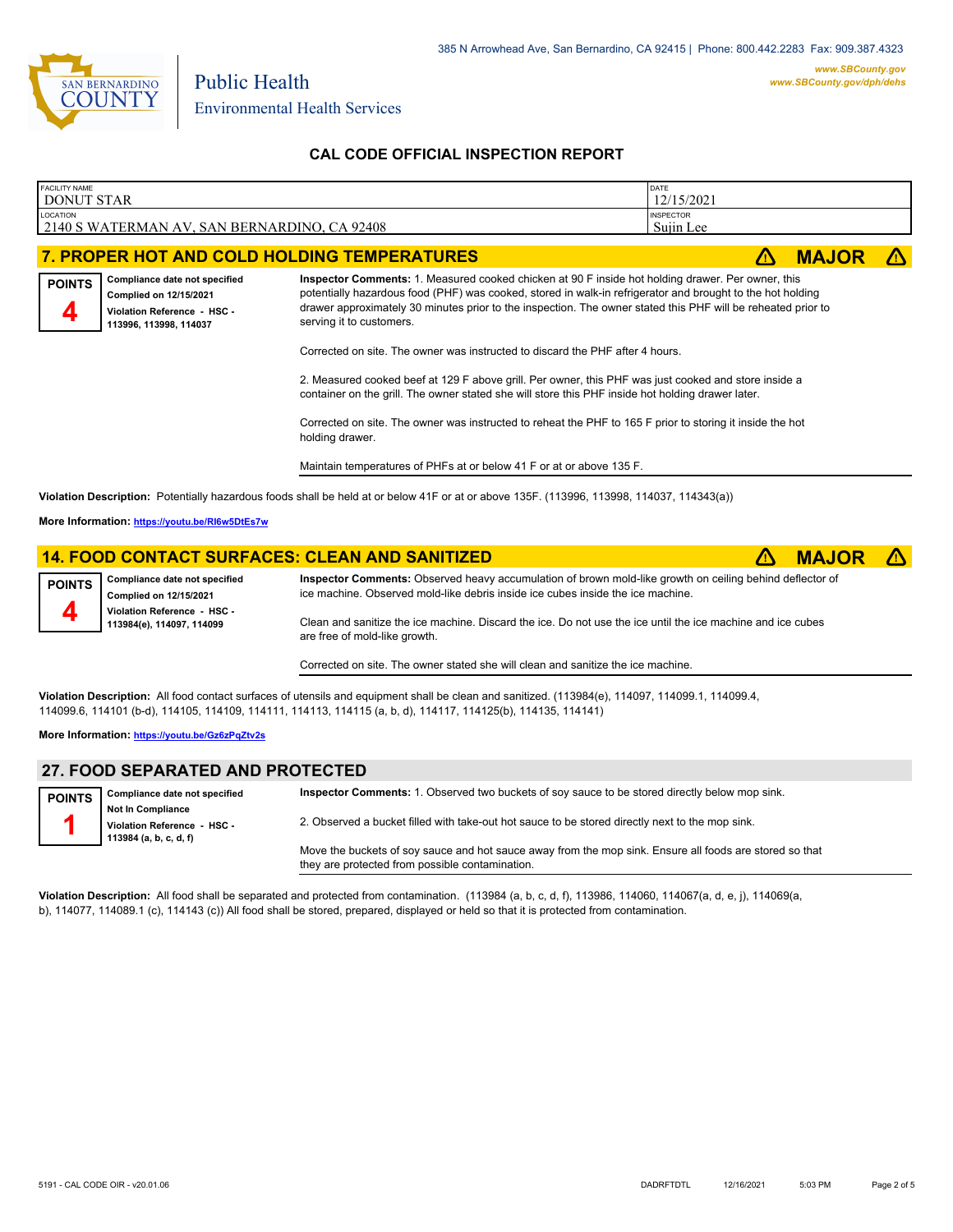

Environmental Health Services

Public Health

# **CAL CODE OFFICIAL INSPECTION REPORT**

| <b>FACILITY NAME</b><br><b>DONUT STAR</b>                                                                                         |                                                                                                                                                                                                                                                                                                           | DATE<br>12/15/2021                                                                                                                                                                                                                                                                                                                                                                                                                                                                                                                                   |              |  |
|-----------------------------------------------------------------------------------------------------------------------------------|-----------------------------------------------------------------------------------------------------------------------------------------------------------------------------------------------------------------------------------------------------------------------------------------------------------|------------------------------------------------------------------------------------------------------------------------------------------------------------------------------------------------------------------------------------------------------------------------------------------------------------------------------------------------------------------------------------------------------------------------------------------------------------------------------------------------------------------------------------------------------|--------------|--|
| LOCATION<br>2140 S WATERMAN AV, SAN BERNARDINO, CA 92408                                                                          |                                                                                                                                                                                                                                                                                                           | <b>INSPECTOR</b><br>Sujin Lee                                                                                                                                                                                                                                                                                                                                                                                                                                                                                                                        |              |  |
|                                                                                                                                   | 7. PROPER HOT AND COLD HOLDING TEMPERATURES                                                                                                                                                                                                                                                               |                                                                                                                                                                                                                                                                                                                                                                                                                                                                                                                                                      | <b>MAJOR</b> |  |
| Compliance date not specified<br><b>POINTS</b><br>Complied on 12/15/2021<br>Violation Reference - HSC -<br>113996, 113998, 114037 | serving it to customers.<br>Corrected on site. The owner was instructed to discard the PHF after 4 hours.<br>container on the grill. The owner stated she will store this PHF inside hot holding drawer later.<br>holding drawer.<br>Maintain temperatures of PHFs at or below 41 F or at or above 135 F. | Inspector Comments: 1. Measured cooked chicken at 90 F inside hot holding drawer. Per owner, this<br>potentially hazardous food (PHF) was cooked, stored in walk-in refrigerator and brought to the hot holding<br>drawer approximately 30 minutes prior to the inspection. The owner stated this PHF will be reheated prior to<br>2. Measured cooked beef at 129 F above grill. Per owner, this PHF was just cooked and store inside a<br>Corrected on site. The owner was instructed to reheat the PHF to 165 F prior to storing it inside the hot |              |  |

**Violation Description:** Potentially hazardous foods shall be held at or below 41F or at or above 135F. (113996, 113998, 114037, 114343(a))

**More Information: <https://youtu.be/RI6w5DtEs7w>**

# **14. FOOD CONTACT SURFACES: CLEAN AND SANITIZED**  $\triangle$  **MAJOR**  $\triangle$

| POINTS Compliance date not specified<br>Complied on 12/15/2021 | Inspector Comments: Observed heavy accumulation of brown mold-like growth on ceiling behind deflector of<br>ice machine. Observed mold-like debris inside ice cubes inside the ice machine. |
|----------------------------------------------------------------|---------------------------------------------------------------------------------------------------------------------------------------------------------------------------------------------|
| Violation Reference - HSC -<br>113984(e), 114097, 114099       | Clean and sanitize the ice machine. Discard the ice. Do not use the ice until the ice machine and ice cubes<br>are free of mold-like growth.                                                |

Corrected on site. The owner stated she will clean and sanitize the ice machine.

**Violation Description:** All food contact surfaces of utensils and equipment shall be clean and sanitized. (113984(e), 114097, 114099.1, 114099.4, 114099.6, 114101 (b-d), 114105, 114109, 114111, 114113, 114115 (a, b, d), 114117, 114125(b), 114135, 114141)

**More Information: <https://youtu.be/Gz6zPqZtv2s>**

#### **27. FOOD SEPARATED AND PROTECTED Compliance date not specified Not In Compliance Violation Reference - HSC - 113984 (a, b, c, d, f) POINTS 1 Inspector Comments:** 1. Observed two buckets of soy sauce to be stored directly below mop sink. 2. Observed a bucket filled with take-out hot sauce to be stored directly next to the mop sink. Move the buckets of soy sauce and hot sauce away from the mop sink. Ensure all foods are stored so that they are protected from possible contamination.

**Violation Description:** All food shall be separated and protected from contamination. (113984 (a, b, c, d, f), 113986, 114060, 114067(a, d, e, j), 114069(a, b), 114077, 114089.1 (c), 114143 (c)) All food shall be stored, prepared, displayed or held so that it is protected from contamination.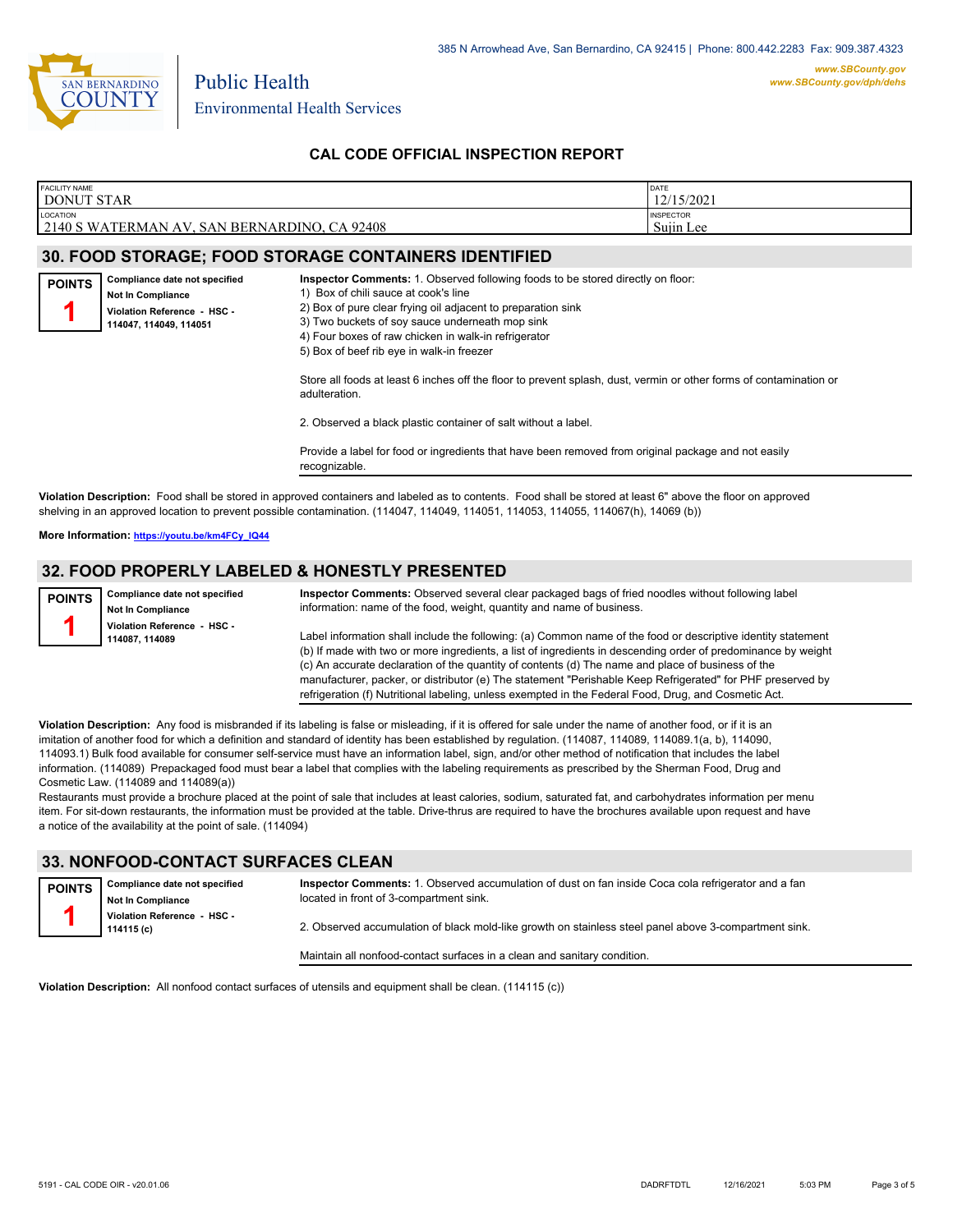

# **CAL CODE OFFICIAL INSPECTION REPORT**

| <b>FACILITY NAME</b>                         | DATE             |
|----------------------------------------------|------------------|
| <b>DONUT STAR</b>                            | 12/15/2021       |
| <b>LOCATION</b>                              | <b>INSPECTOR</b> |
| 2140 S WATERMAN AV, SAN BERNARDINO, CA 92408 | Sujin Lee        |
|                                              |                  |

# **30. FOOD STORAGE; FOOD STORAGE CONTAINERS IDENTIFIED**

| <b>POINTS</b> | Compliance date not specified<br><b>Not In Compliance</b><br>Violation Reference - HSC -<br>114047.114049.114051 | <b>Inspector Comments:</b> 1. Observed following foods to be stored directly on floor:<br>1) Box of chili sauce at cook's line<br>2) Box of pure clear frying oil adjacent to preparation sink<br>3) Two buckets of soy sauce underneath mop sink<br>4) Four boxes of raw chicken in walk-in refrigerator<br>5) Box of beef rib eye in walk-in freezer |
|---------------|------------------------------------------------------------------------------------------------------------------|--------------------------------------------------------------------------------------------------------------------------------------------------------------------------------------------------------------------------------------------------------------------------------------------------------------------------------------------------------|
|               |                                                                                                                  | Store all foods at least 6 inches off the floor to prevent splash, dust, vermin or other forms of contamination or<br>adulteration.                                                                                                                                                                                                                    |
|               |                                                                                                                  | 2. Observed a black plastic container of salt without a label.                                                                                                                                                                                                                                                                                         |
|               |                                                                                                                  | Provide a label for food or ingredients that have been removed from original package and not easily<br>recognizable.                                                                                                                                                                                                                                   |
|               |                                                                                                                  |                                                                                                                                                                                                                                                                                                                                                        |

**Violation Description:** Food shall be stored in approved containers and labeled as to contents. Food shall be stored at least 6" above the floor on approved shelving in an approved location to prevent possible contamination. (114047, 114049, 114051, 114053, 114055, 114067(h), 14069 (b))

**More Information: [https://youtu.be/km4FCy\\_IQ44](https://youtu.be/km4FCy_IQ44)**

#### **32. FOOD PROPERLY LABELED & HONESTLY PRESENTED**

**Compliance date not specified Not In Compliance Violation Reference - HSC - 114087, 114089 POINTS 1 Inspector Comments:** Observed several clear packaged bags of fried noodles without following label information: name of the food, weight, quantity and name of business. Label information shall include the following: (a) Common name of the food or descriptive identity statement (b) If made with two or more ingredients, a list of ingredients in descending order of predominance by weight (c) An accurate declaration of the quantity of contents (d) The name and place of business of the

manufacturer, packer, or distributor (e) The statement "Perishable Keep Refrigerated" for PHF preserved by refrigeration (f) Nutritional labeling, unless exempted in the Federal Food, Drug, and Cosmetic Act.

**Violation Description:** Any food is misbranded if its labeling is false or misleading, if it is offered for sale under the name of another food, or if it is an imitation of another food for which a definition and standard of identity has been established by regulation. (114087, 114089, 114089, 1(a, b), 114090, 114093.1) Bulk food available for consumer self-service must have an information label, sign, and/or other method of notification that includes the label information. (114089) Prepackaged food must bear a label that complies with the labeling requirements as prescribed by the Sherman Food, Drug and Cosmetic Law. (114089 and 114089(a))

Restaurants must provide a brochure placed at the point of sale that includes at least calories, sodium, saturated fat, and carbohydrates information per menu item. For sit-down restaurants, the information must be provided at the table. Drive-thrus are required to have the brochures available upon request and have a notice of the availability at the point of sale. (114094)

#### **33. NONFOOD-CONTACT SURFACES CLEAN**

| <b>POINTS</b> | Compliance date not specified<br><b>Not In Compliance</b> | Inspector Comments: 1. Observed accumulation of dust on fan inside Coca cola refrigerator and a fan<br>located in front of 3-compartment sink. |
|---------------|-----------------------------------------------------------|------------------------------------------------------------------------------------------------------------------------------------------------|
|               | Violation Reference - HSC -<br>114115 (c)                 | 2. Observed accumulation of black mold-like growth on stainless steel panel above 3-compartment sink.                                          |
|               |                                                           | Maintain all nonfood-contact surfaces in a clean and sanitary condition.                                                                       |

**Violation Description:** All nonfood contact surfaces of utensils and equipment shall be clean. (114115 (c))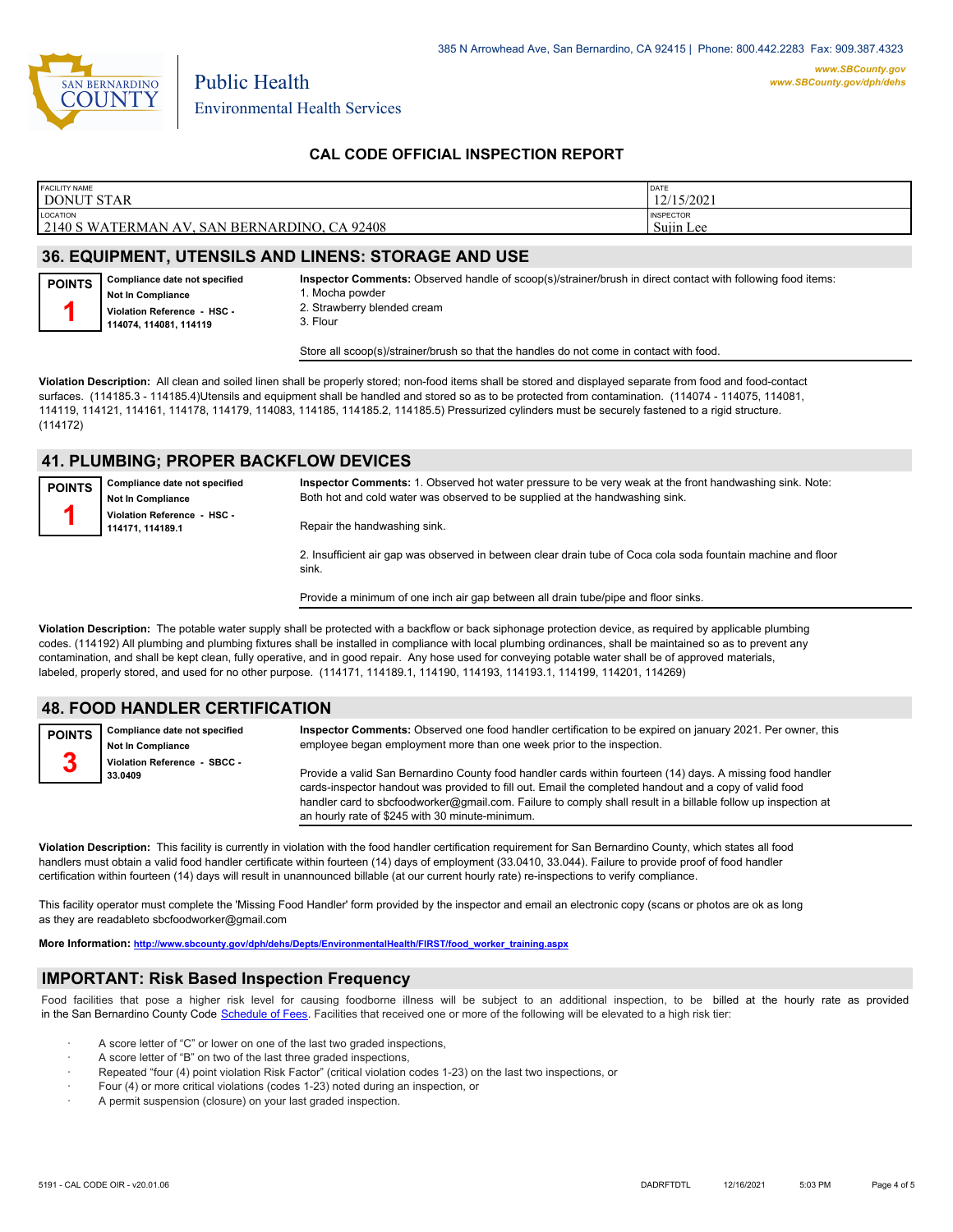

## **CAL CODE OFFICIAL INSPECTION REPORT**

| <b>FACILITY NAME</b>                                                  | DATE                          |
|-----------------------------------------------------------------------|-------------------------------|
| DONUT STAR                                                            | 12/15/2021                    |
| <b>LOCATION</b><br>2140 S WATERMAN AV,<br>CA 92408<br>SAN BERNARDINO. | <b>INSPECTOR</b><br>Sujin Lee |

# **36. EQUIPMENT, UTENSILS AND LINENS: STORAGE AND USE**

**Compliance date not specified Not In Compliance Violation Reference - HSC - POINTS 1**

**114074, 114081, 114119**

**Inspector Comments:** Observed handle of scoop(s)/strainer/brush in direct contact with following food items:

1. Mocha powder 2. Strawberry blended cream

3. Flour

Store all scoop(s)/strainer/brush so that the handles do not come in contact with food.

**Violation Description:** All clean and soiled linen shall be properly stored; non-food items shall be stored and displayed separate from food and food-contact surfaces. (114185.3 - 114185.4)Utensils and equipment shall be handled and stored so as to be protected from contamination. (114074 - 114075, 114081, 114119, 114121, 114161, 114178, 114179, 114083, 114185, 114185.2, 114185.5) Pressurized cylinders must be securely fastened to a rigid structure. (114172)

#### **41. PLUMBING; PROPER BACKFLOW DEVICES**

| <b>POINTS</b>                                                                   | Compliance date not specified<br><b>Not In Compliance</b> | Inspector Comments: 1. Observed hot water pressure to be very weak at the front handwashing sink. Note:<br>Both hot and cold water was observed to be supplied at the handwashing sink. |
|---------------------------------------------------------------------------------|-----------------------------------------------------------|-----------------------------------------------------------------------------------------------------------------------------------------------------------------------------------------|
| Violation Reference - HSC -<br>Repair the handwashing sink.<br>114171, 114189.1 |                                                           |                                                                                                                                                                                         |
|                                                                                 |                                                           | 2. Insufficient air gap was observed in between clear drain tube of Coca cola soda fountain machine and floor<br>sink                                                                   |

Provide a minimum of one inch air gap between all drain tube/pipe and floor sinks.

**Violation Description:** The potable water supply shall be protected with a backflow or back siphonage protection device, as required by applicable plumbing codes. (114192) All plumbing and plumbing fixtures shall be installed in compliance with local plumbing ordinances, shall be maintained so as to prevent any contamination, and shall be kept clean, fully operative, and in good repair. Any hose used for conveying potable water shall be of approved materials, labeled, properly stored, and used for no other purpose. (114171, 114189.1, 114190, 114193, 114193.1, 114199, 114201, 114269)

#### **48. FOOD HANDLER CERTIFICATION**

**Compliance date not specified Not In Compliance Violation Reference - SBCC - 33.0409 POINTS 3 Inspector Comments:** Observed one food handler certification to be expired on january 2021. Per owner, this employee began employment more than one week prior to the inspection. Provide a valid San Bernardino County food handler cards within fourteen (14) days. A missing food handler cards-inspector handout was provided to fill out. Email the completed handout and a copy of valid food handler card to sbcfoodworker@gmail.com. Failure to comply shall result in a billable follow up inspection at an hourly rate of \$245 with 30 minute-minimum.

**Violation Description:** This facility is currently in violation with the food handler certification requirement for San Bernardino County, which states all food handlers must obtain a valid food handler certificate within fourteen (14) days of employment (33.0410, 33.044). Failure to provide proof of food handler certification within fourteen (14) days will result in unannounced billable (at our current hourly rate) re-inspections to verify compliance.

This facility operator must complete the 'Missing Food Handler' form provided by the inspector and email an electronic copy (scans or photos are ok as long as they are readableto sbcfoodworker@gmail.com

**More Information: [http://www.sbcounty.gov/dph/dehs/Depts/EnvironmentalHealth/FIRST/food\\_worker\\_training.aspx](http://www.sbcounty.gov/dph/dehs/Depts/EnvironmentalHealth/FIRST/food_worker_training.aspx)**

#### **IMPORTANT: Risk Based Inspection Frequency**

Food facilities that pose a higher risk level for causing foodborne illness will be subject to an additional inspection, to be billed at the hourly rate as provided in the San Bernardino Count[y Code Schedule of Fees. Facilitie](https://codelibrary.amlegal.com/codes/sanbernardino/latest/sanberncty_ca/0-0-0-122474#JD_16.0213B)s that received one or more of the following will be elevated to a high risk tier:

- A score letter of "C" or lower on one of the last two graded inspections,
- A score letter of "B" on two of the last three graded inspections,
- Repeated "four (4) point violation Risk Factor" (critical violation codes 1-23) on the last two inspections, or
- · Four (4) or more critical violations (codes 1-23) noted during an inspection, or
- A permit suspension (closure) on your last graded inspection.